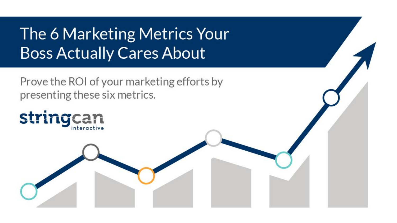The 6 Marketing Metrics Your **Boss Actually Cares About** 

Prove the ROI of your marketing efforts by presenting these six metrics.

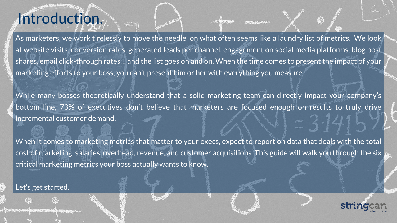### Introduction.

As marketers, we work tirelessly to move the needle on what often seems like a laundry list of metrics. We look at website visits, conversion rates, generated leads per channel, engagement on social media platforms, blog post shares, email click-through rates… and the list goes on and on. When the time comes to present the impact of your marketing efforts to your boss, you can't present him or her with everything you measure.

20

While many bosses theoretically understand that a solid marketing team can directly impact your company's bottom line, 73% of executives don't believe that marketers are focused enough on results to truly drive incremental customer demand.

When it comes to marketing metrics that matter to your execs, expect to report on data that deals with the total cost of marketing, salaries, overhead, revenue, and customer acquisitions. This guide will walk you through the six critical marketing metrics your boss actually wants to know.

#### Let's get started.

**ŒŦŖĸŊĿġĸŊĸŦŖ**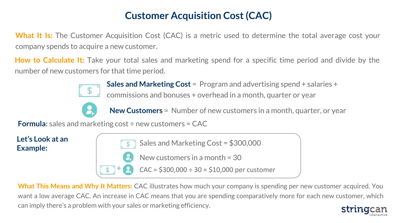### **Customer Acquisition Cost (CAC)**

**What It Is:** The Customer Acquisition Cost (CAC) is a metric used to determine the total average cost your company spends to acquire a new customer.

**How to Calculate It:** Take your total sales and marketing spend for a specific time period and divide by the number of new customers for that time period.



**Sales and Marketing Cost** = Program and advertising spend + salaries + commissions and bonuses + overhead in a month, quarter or year



**New Customers** = Number of new customers in a month, quarter, or year

**Formula:** sales and marketing cost ÷ new customers = CAC

**Let's Look at an** 



**What This Means and Why It Matters:** CAC illustrates how much your company is spending per new customer acquired. You want a low average CAC. An increase in CAC means that you are spending comparatively more for each new customer, which can imply there's a problem with your sales or marketing efficiency.

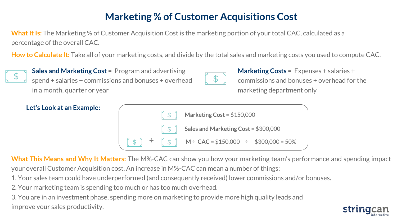#### **Marketing % of Customer Acquisitions Cost**

**What It Is:** The Marketing % of Customer Acquisition Cost is the marketing portion of your total CAC, calculated as a percentage of the overall CAC.

**How to Calculate It:** Take all of your marketing costs, and divide by the total sales and marketing costs you used to compute CAC.



**Sales and Marketing Cost** = Program and advertising spend + salaries + commissions and bonuses + overhead in a month, quarter or year



**Marketing Costs** = Expenses + salaries + commissions and bonuses + overhead for the marketing department only



**What This Means and Why It Matters:** The M%-CAC can show you how your marketing team's performance and spending impact your overall Customer Acquisition cost. An increase in M%-CAC can mean a number of things:

- 1. Your sales team could have underperformed (and consequently received) lower commissions and/or bonuses.
- 2. Your marketing team is spending too much or has too much overhead.

3. You are in an investment phase, spending more on marketing to provide more high quality leads and improve your sales productivity.

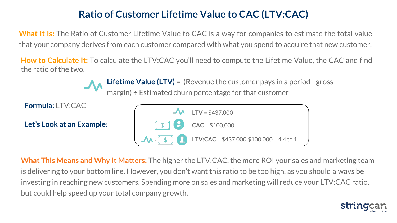#### **Ratio of Customer Lifetime Value to CAC (LTV:CAC)**

**What It Is:** The Ratio of Customer Lifetime Value to CAC is a way for companies to estimate the total value that your company derives from each customer compared with what you spend to acquire that new customer.

**How to Calculate It:** To calculate the LTV:CAC you'll need to compute the Lifetime Value, the CAC and find the ratio of the two.

> **Lifetime Value (LTV)** = (Revenue the customer pays in a period - gross margin) ÷ Estimated churn percentage for that customer

**Formula:** LTV:CAC

**Let's Look at an Example:**



**What This Means and Why It Matters:** The higher the LTV:CAC, the more ROI your sales and marketing team is delivering to your bottom line. However, you don't want this ratio to be too high, as you should always be investing in reaching new customers. Spending more on sales and marketing will reduce your LTV:CAC ratio, but could help speed up your total company growth.

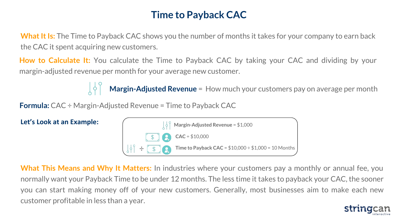#### **Time to Payback CAC**

**What It Is:** The Time to Payback CAC shows you the number of months it takes for your company to earn back the CAC it spent acquiring new customers.

**How to Calculate It:** You calculate the Time to Payback CAC by taking your CAC and dividing by your margin-adjusted revenue per month for your average new customer.

**Margin-Adjusted Revenue** = How much your customers pay on average per month

**Formula:** CAC ÷ Margin-Adjusted Revenue = Time to Payback CAC



**What This Means and Why It Matters:** In industries where your customers pay a monthly or annual fee, you normally want your Payback Time to be under 12 months. The less time it takes to payback your CAC, the sooner you can start making money off of your new customers. Generally, most businesses aim to make each new customer profitable in less than a year.

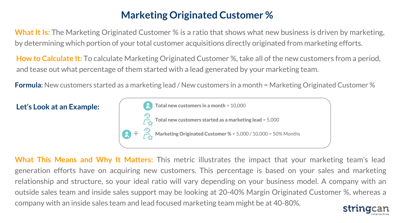#### **Marketing Originated Customer %**

**What It Is:** The Marketing Originated Customer % is a ratio that shows what new business is driven by marketing, by determining which portion of your total customer acquisitions directly originated from marketing efforts.

**How to Calculate It:** To calculate Marketing Originated Customer %, take all of the new customers from a period, and tease out what percentage of them started with a lead generated by your marketing team.

**Formula**: New customers started as a marketing lead / New customers in a month = Marketing Originated Customer %



**What This Means and Why It Matters:** This metric illustrates the impact that your marketing team's lead generation efforts have on acquiring new customers. This percentage is based on your sales and marketing relationship and structure, so your ideal ratio will vary depending on your business model. A company with an outside sales team and inside sales support may be looking at 20-40% Margin Originated Customer %, whereas a company with an inside sales team and lead focused marketing team might be at 40-80%.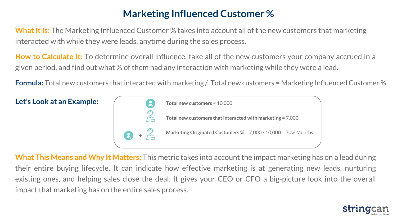#### **Marketing Influenced Customer %**

**What It Is:** The Marketing Influenced Customer % takes into account all of the new customers that marketing interacted with while they were leads, anytime during the sales process.

**How to Calculate It:** To determine overall influence, take all of the new customers your company accrued in a given period, and find out what % of them had any interaction with marketing while they were a lead.

**Formula:** Total new customers that interacted with marketing / Total new customers = Marketing Influenced Customer %



**What This Means and Why It Matters:** This metric takes into account the impact marketing has on a lead during their entire buying lifecycle. It can indicate how effective marketing is at generating new leads, nurturing existing ones, and helping sales close the deal. It gives your CEO or CFO a big-picture look into the overall impact that marketing has on the entire sales process.

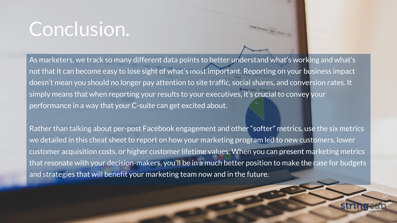## Conclusion.

As marketers, we track so many different data points to better understand what's working and what's not that it can become easy to lose sight of what's most important. Reporting on your business impact doesn't mean you should no longer pay attention to site traffic, social shares, and conversion rates. It simply means that when reporting your results to your executives, it's crucial to convey your performance in a way that your C-suite can get excited about.

Rather than talking about per-post Facebook engagement and other "softer" metrics, use the six metrics we detailed in this cheat sheet to report on how your marketing program led to new customers, lower customer acquisition costs, or higher customer lifetime values. When you can present marketing metrics that resonate with your decision-makers, you'll be in a much better position to make the case for budgets and strategies that will benefit your marketing team now and in the future.